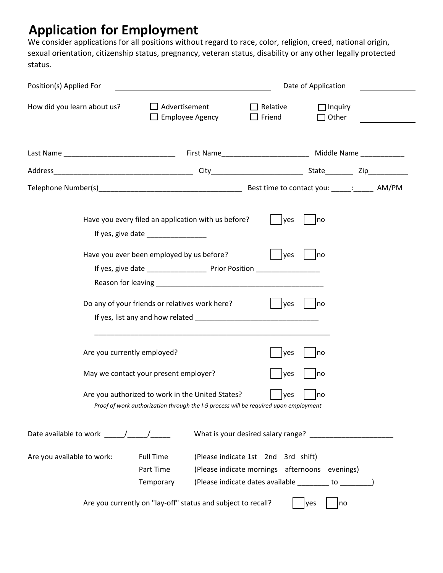# **Application for Employment**

We consider applications for all positions without regard to race, color, religion, creed, national origin, sexual orientation, citizenship status, pregnancy, veteran status, disability or any other legally protected status.

| Position(s) Applied For                             |                                                                                                                                          |                                                      | Date of Application            |  |
|-----------------------------------------------------|------------------------------------------------------------------------------------------------------------------------------------------|------------------------------------------------------|--------------------------------|--|
| How did you learn about us?                         | $\Box$ Advertisement<br>$\Box$ Employee Agency                                                                                           | $\Box$ Relative<br>$\Box$ Friend                     | $\Box$ Inquiry<br>$\Box$ Other |  |
|                                                     |                                                                                                                                          |                                                      |                                |  |
|                                                     |                                                                                                                                          |                                                      |                                |  |
|                                                     |                                                                                                                                          |                                                      |                                |  |
|                                                     | Have you every filed an application with us before?<br>If yes, give date _________________                                               | lyes                                                 | Ino                            |  |
|                                                     | Have you ever been employed by us before?<br>If yes, give date _____________________ Prior Position _________________________            | yes                                                  | no                             |  |
|                                                     | Do any of your friends or relatives work here?                                                                                           | <b>yes</b>                                           | no                             |  |
| Are you currently employed?                         |                                                                                                                                          | yes                                                  | no                             |  |
|                                                     | May we contact your present employer?                                                                                                    | yes                                                  | no                             |  |
|                                                     | Are you authorized to work in the United States?<br>Proof of work authorization through the I-9 process will be required upon employment | yes                                                  | no                             |  |
| Date available to work $\underline{\qquad \qquad }$ |                                                                                                                                          |                                                      |                                |  |
| Are you available to work:                          | <b>Full Time</b>                                                                                                                         | (Please indicate 1st 2nd 3rd shift)                  |                                |  |
|                                                     | Part Time                                                                                                                                | (Please indicate mornings afternoons evenings)       |                                |  |
|                                                     | Temporary                                                                                                                                | (Please indicate dates available ________ to _______ |                                |  |
|                                                     | Are you currently on "lay-off" status and subject to recall?                                                                             |                                                      | no<br>yes                      |  |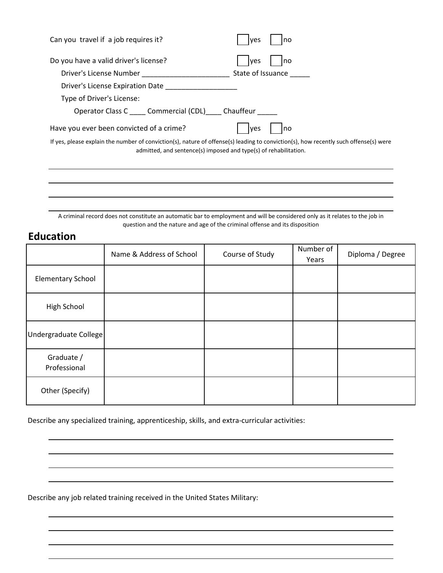| Can you travel if a job requires it?                                                                                                                                                                     | no<br>yes         |
|----------------------------------------------------------------------------------------------------------------------------------------------------------------------------------------------------------|-------------------|
| Do you have a valid driver's license?                                                                                                                                                                    | ves<br>no         |
| Driver's License Number                                                                                                                                                                                  | State of Issuance |
| Driver's License Expiration Date                                                                                                                                                                         |                   |
| Type of Driver's License:                                                                                                                                                                                |                   |
| Operator Class C ______ Commercial (CDL) _____ Chauffeur                                                                                                                                                 |                   |
| Have you ever been convicted of a crime?                                                                                                                                                                 | no<br>yes         |
| If yes, please explain the number of conviction(s), nature of offense(s) leading to conviction(s), how recently such offense(s) were<br>admitted, and sentence(s) imposed and type(s) of rehabilitation. |                   |
|                                                                                                                                                                                                          |                   |
|                                                                                                                                                                                                          |                   |

A criminal record does not constitute an automatic bar to employment and will be considered only as it relates to the job in question and the nature and age of the criminal offense and its disposition

# **Education**

|                            | Name & Address of School | Course of Study | Number of<br>Years | Diploma / Degree |
|----------------------------|--------------------------|-----------------|--------------------|------------------|
| <b>Elementary School</b>   |                          |                 |                    |                  |
| High School                |                          |                 |                    |                  |
| Undergraduate College      |                          |                 |                    |                  |
| Graduate /<br>Professional |                          |                 |                    |                  |
| Other (Specify)            |                          |                 |                    |                  |

Describe any specialized training, apprenticeship, skills, and extra-curricular activities:

Describe any job related training received in the United States Military: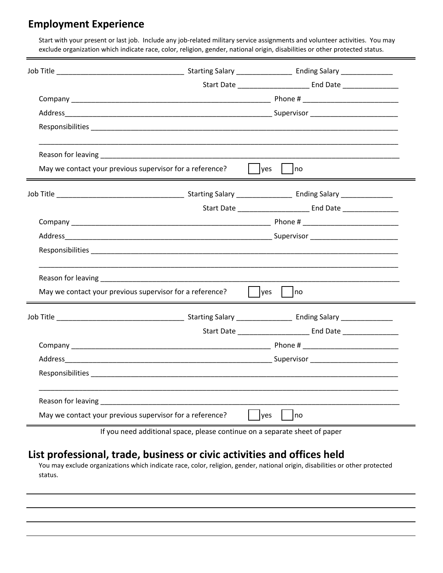### **Employment Experience**

Start with your present or last job. Include any job-related military service assignments and volunteer activities. You may exclude organization which indicate race, color, religion, gender, national origin, disabilities or other protected status.

|                                                          |                                   | Start Date __________________________________ End Date _________________________ |
|----------------------------------------------------------|-----------------------------------|----------------------------------------------------------------------------------|
|                                                          |                                   |                                                                                  |
|                                                          |                                   |                                                                                  |
|                                                          |                                   |                                                                                  |
|                                                          |                                   |                                                                                  |
| May we contact your previous supervisor for a reference? | $\vert$ yes<br>$\vert$ $\vert$ no |                                                                                  |
|                                                          |                                   |                                                                                  |
|                                                          |                                   | Start Date _________________________ End Date __________________________________ |
|                                                          |                                   |                                                                                  |
|                                                          |                                   |                                                                                  |
|                                                          |                                   |                                                                                  |
|                                                          |                                   |                                                                                  |
| May we contact your previous supervisor for a reference? | $\vert$ yes $\vert$ no            |                                                                                  |
|                                                          |                                   |                                                                                  |
|                                                          |                                   |                                                                                  |
|                                                          |                                   |                                                                                  |
|                                                          |                                   |                                                                                  |
|                                                          |                                   |                                                                                  |
|                                                          |                                   |                                                                                  |
| May we contact your previous supervisor for a reference? | yes<br>Ino                        |                                                                                  |

If you need additional space, please continue on a separate sheet of paper

### **List professional, trade, business or civic activities and offices held**

You may exclude organizations which indicate race, color, religion, gender, national origin, disabilities or other protected status.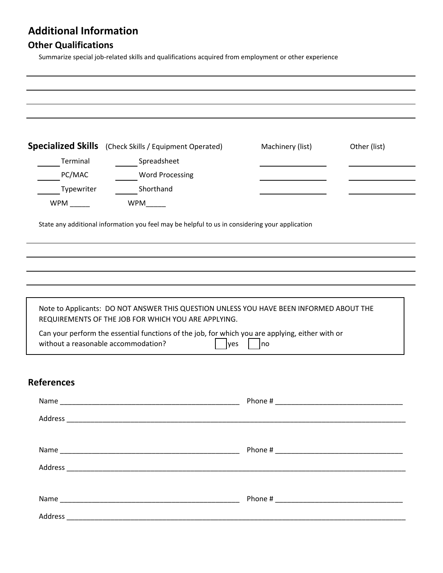# **Additional Information**

# **Other Qualifications**

Summarize special job-related skills and qualifications acquired from employment or other experience

|                                     | <b>Specialized Skills</b> (Check Skills / Equipment Operated)                                                                                                                                                                                     | Machinery (list) | Other (list) |
|-------------------------------------|---------------------------------------------------------------------------------------------------------------------------------------------------------------------------------------------------------------------------------------------------|------------------|--------------|
| Terminal                            | Spreadsheet                                                                                                                                                                                                                                       |                  |              |
| PC/MAC                              | <b>Word Processing</b>                                                                                                                                                                                                                            |                  |              |
| Typewriter                          | Shorthand                                                                                                                                                                                                                                         |                  |              |
|                                     | WPM______                                                                                                                                                                                                                                         |                  |              |
|                                     |                                                                                                                                                                                                                                                   |                  |              |
|                                     | Note to Applicants: DO NOT ANSWER THIS QUESTION UNLESS YOU HAVE BEEN INFORMED ABOUT THE<br>REQUIREMENTS OF THE JOB FOR WHICH YOU ARE APPLYING.<br>Can your perform the essential functions of the job, for which you are applying, either with or |                  |              |
| without a reasonable accommodation? | yes                                                                                                                                                                                                                                               | no               |              |
| <b>References</b>                   |                                                                                                                                                                                                                                                   |                  |              |
|                                     |                                                                                                                                                                                                                                                   |                  |              |
|                                     |                                                                                                                                                                                                                                                   |                  |              |
|                                     |                                                                                                                                                                                                                                                   |                  |              |
|                                     |                                                                                                                                                                                                                                                   |                  |              |
|                                     |                                                                                                                                                                                                                                                   |                  |              |
|                                     |                                                                                                                                                                                                                                                   |                  |              |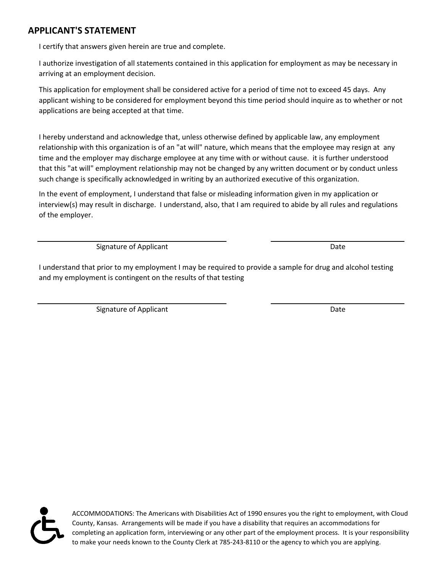### **APPLICANT'S STATEMENT**

I certify that answers given herein are true and complete.

I authorize investigation of all statements contained in this application for employment as may be necessary in arriving at an employment decision.

This application for employment shall be considered active for a period of time not to exceed 45 days. Any applicant wishing to be considered for employment beyond this time period should inquire as to whether or not applications are being accepted at that time.

I hereby understand and acknowledge that, unless otherwise defined by applicable law, any employment relationship with this organization is of an "at will" nature, which means that the employee may resign at any time and the employer may discharge employee at any time with or without cause. it is further understood that this "at will" employment relationship may not be changed by any written document or by conduct unless such change is specifically acknowledged in writing by an authorized executive of this organization.

In the event of employment, I understand that false or misleading information given in my application or interview(s) may result in discharge. I understand, also, that I am required to abide by all rules and regulations of the employer.

Signature of Applicant Date Controller and Date Date Date

I understand that prior to my employment I may be required to provide a sample for drug and alcohol testing and my employment is contingent on the results of that testing

Signature of Applicant Date Controller and Date Date Date

ACCOMMODATIONS: The Americans with Disabilities Act of 1990 ensures you the right to employment, with Cloud County, Kansas. Arrangements will be made if you have a disability that requires an accommodations for completing an application form, interviewing or any other part of the employment process. It is your responsibility to make your needs known to the County Clerk at 785-243-8110 or the agency to which you are applying.